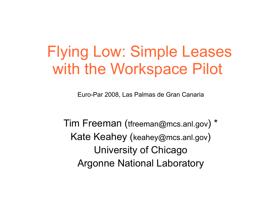# Flying Low: Simple Leases with the Workspace Pilot

Euro-Par 2008, Las Palmas de Gran Canaria

Tim Freeman (tfreeman@mcs.anl.gov) \* Kate Keahey (keahey@mcs.anl.gov) University of Chicago Argonne National Laboratory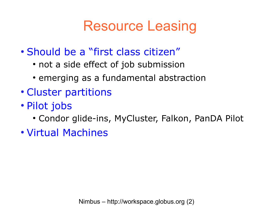#### Resource Leasing

- Should be a "first class citizen"
	- not a side effect of job submission
	- emerging as a fundamental abstraction
- Cluster partitions
- Pilot jobs
	- Condor glide-ins, MyCluster, Falkon, PanDA Pilot
- Virtual Machines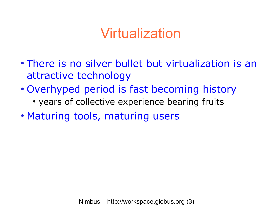#### Virtualization

- There is no silver bullet but virtualization is an attractive technology
- Overhyped period is fast becoming history
	- years of collective experience bearing fruits
- Maturing tools, maturing users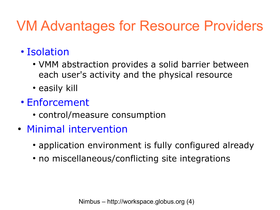# VM Advantages for Resource Providers

#### • Isolation

- VMM abstraction provides a solid barrier between each user's activity and the physical resource
- easily kill

#### • Enforcement

- control/measure consumption
- Minimal intervention
	- application environment is fully configured already
	- no miscellaneous/conflicting site integrations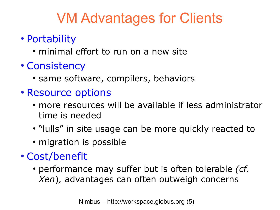# VM Advantages for Clients

- Portability
	- minimal effort to run on a new site
- Consistency
	- same software, compilers, behaviors
- Resource options
	- more resources will be available if less administrator time is needed
	- "lulls" in site usage can be more quickly reacted to
	- migration is possible
- Cost/benefit
	- performance may suffer but is often tolerable *(cf. Xen*)*,* advantages can often outweigh concerns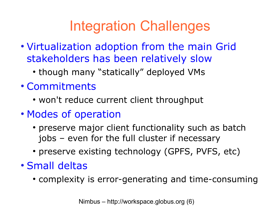# Integration Challenges

- Virtualization adoption from the main Grid stakeholders has been relatively slow
	- though many "statically" deployed VMs
- Commitments
	- won't reduce current client throughput
- Modes of operation
	- preserve major client functionality such as batch jobs – even for the full cluster if necessary
	- preserve existing technology (GPFS, PVFS, etc)
- Small deltas
	- complexity is error-generating and time-consuming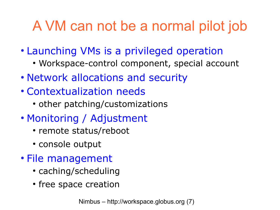# A VM can not be a normal pilot job

- Launching VMs is a privileged operation
	- Workspace-control component, special account
- Network allocations and security
- Contextualization needs
	- other patching/customizations
- Monitoring / Adjustment
	- remote status/reboot
	- console output
- File management
	- caching/scheduling
	- free space creation

Nimbus – http://workspace.globus.org (7)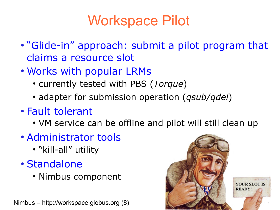# Workspace Pilot

- "Glide-in" approach: submit a pilot program that claims a resource slot
- Works with popular LRMs
	- currently tested with PBS (*Torque*)
	- adapter for submission operation (*qsub/qdel*)
- Fault tolerant
	- VM service can be offline and pilot will still clean up
- Administrator tools
	- "kill-all" utility
- Standalone
	- Nimbus component

Nimbus – http://workspace.globus.org (8)

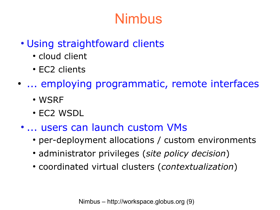# Nimbus

- Using straightfoward clients
	- cloud client
	- EC2 clients
- ... employing programmatic, remote interfaces
	- WSRF
	- EC2 WSDL
	- ... users can launch custom VMs
		- per-deployment allocations / custom environments
		- administrator privileges (*site policy decision*)
		- coordinated virtual clusters (*contextualization*)

Nimbus – http://workspace.globus.org (9)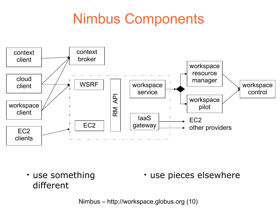### Nimbus Components



• use something • use pieces elsewhere different

Nimbus – http://workspace.globus.org (10)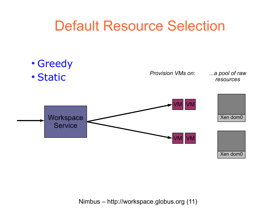#### Default Resource Selection

- Greedy
- Static

*Provision VMs on:*

*...a pool of raw resources*



Nimbus – http://workspace.globus.org (11)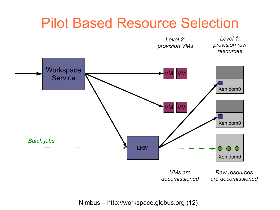#### Pilot Based Resource Selection



Nimbus – http://workspace.globus.org (12)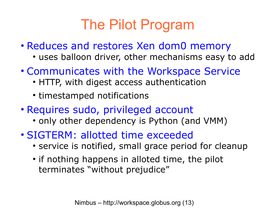# The Pilot Program

- Reduces and restores Xen dom0 memory
	- uses balloon driver, other mechanisms easy to add
- Communicates with the Workspace Service
	- HTTP, with digest access authentication
	- timestamped notifications
- Requires sudo, privileged account
	- only other dependency is Python (and VMM)
- SIGTERM: allotted time exceeded
	- service is notified, small grace period for cleanup
	- if nothing happens in alloted time, the pilot terminates "without prejudice"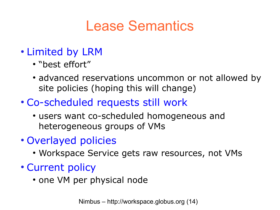### Lease Semantics

#### • Limited by LRM

- "best effort"
- advanced reservations uncommon or not allowed by site policies (hoping this will change)
- Co-scheduled requests still work
	- users want co-scheduled homogeneous and heterogeneous groups of VMs
- Overlayed policies
	- Workspace Service gets raw resources, not VMs
- Current policy
	- one VM per physical node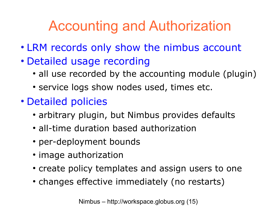# Accounting and Authorization

- LRM records only show the nimbus account
- Detailed usage recording
	- all use recorded by the accounting module (plugin)
	- service logs show nodes used, times etc.
- Detailed policies
	- arbitrary plugin, but Nimbus provides defaults
	- all-time duration based authorization
	- per-deployment bounds
	- image authorization
	- create policy templates and assign users to one
	- changes effective immediately (no restarts)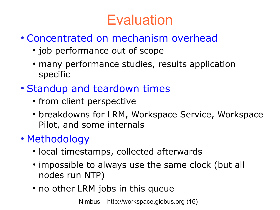# **Evaluation**

- Concentrated on mechanism overhead
	- job performance out of scope
	- many performance studies, results application specific
- Standup and teardown times
	- from client perspective
	- breakdowns for LRM, Workspace Service, Workspace Pilot, and some internals
- Methodology
	- local timestamps, collected afterwards
	- impossible to always use the same clock (but all nodes run NTP)
	- no other LRM jobs in this queue

Nimbus – http://workspace.globus.org (16)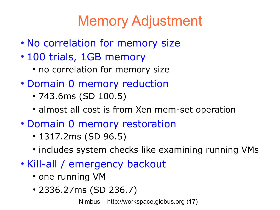# Memory Adjustment

- No correlation for memory size
- 100 trials, 1GB memory
	- no correlation for memory size
- Domain 0 memory reduction
	- 743.6ms (SD 100.5)
	- almost all cost is from Xen mem-set operation
- Domain 0 memory restoration
	- $\cdot$  1317.2ms (SD 96.5)
	- includes system checks like examining running VMs
- Kill-all / emergency backout
	- one running VM
	- 2336.27ms (SD 236.7)

Nimbus – http://workspace.globus.org (17)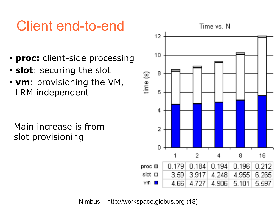# Client end-to-end

- **proc:** client-side processing
- **slot**: securing the slot
- **vm**: provisioning the VM, LRM independent

Main increase is from slot provisioning



Nimbus – http://workspace.globus.org (18)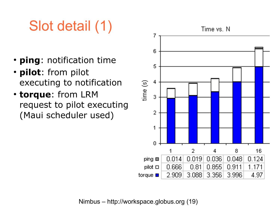# Slot detail (1)

- **ping**: notification time
- **pilot**: from pilot executing to notification
- **torque**: from LRM request to pilot executing (Maui scheduler used)



Nimbus – http://workspace.globus.org (19)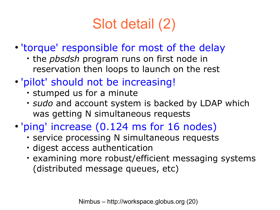# Slot detail (2)

- 'torque' responsible for most of the delay
	- the *pbsdsh* program runs on first node in reservation then loops to launch on the rest
- 'pilot' should not be increasing!
	- stumped us for a minute
	- $\cdot$  *sudo* and account system is backed by LDAP which was getting N simultaneous requests
- 'ping' increase (0.124 ms for 16 nodes)
	- service processing N simultaneous requests
	- digest access authentication
	- examining more robust/efficient messaging systems (distributed message queues, etc)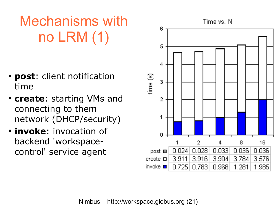Mechanisms with no LRM (1)

- **post**: client notification time
- **create**: starting VMs and connecting to them network (DHCP/security)
- **invoke**: invocation of backend 'workspacecontrol' service agent

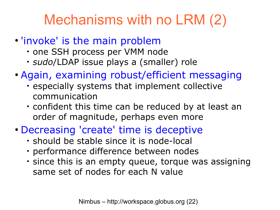# Mechanisms with no LRM (2)

- 'invoke' is the main problem
	- one SSH process per VMM node
	- *sudo*/LDAP issue plays a (smaller) role
- Again, examining robust/efficient messaging
	- especially systems that implement collective communication
	- $\cdot$  confident this time can be reduced by at least an order of magnitude, perhaps even more
- Decreasing 'create' time is deceptive
	- should be stable since it is node-local
	- performance difference between nodes
	- since this is an empty queue, torque was assigning same set of nodes for each N value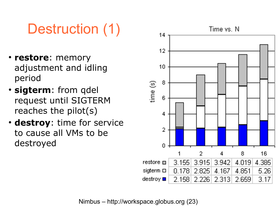# Destruction (1)

- **restore**: memory adjustment and idling period
- **sigterm**: from qdel request until SIGTERM reaches the pilot(s)
- destroy: time for service to cause all VMs to be destroyed

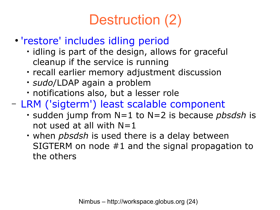# Destruction (2)

- 'restore' includes idling period
	- · idling is part of the design, allows for graceful cleanup if the service is running
	- recall earlier memory adjustment discussion
	- *sudo*/LDAP again a problem
	- notifications also, but a lesser role
- LRM ('sigterm') least scalable component
	- sudden jump from N=1 to N=2 is because *pbsdsh* is not used at all with  $N=1$
	- when *pbsdsh* is used there is a delay between SIGTERM on node #1 and the signal propagation to the others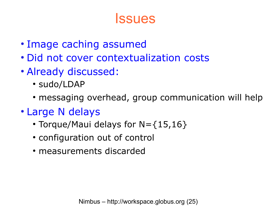#### **Issues**

- Image caching assumed
- Did not cover contextualization costs
- Already discussed:
	- sudo/LDAP
	- messaging overhead, group communication will help
- Large N delays
	- Torque/Maui delays for  $N = \{15, 16\}$
	- configuration out of control
	- measurements discarded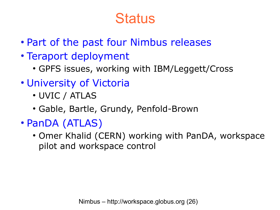#### **Status**

- Part of the past four Nimbus releases
- Teraport deployment
	- GPFS issues, working with IBM/Leggett/Cross
- University of Victoria
	- UVIC / ATLAS
	- Gable, Bartle, Grundy, Penfold-Brown
- PanDA (ATLAS)
	- Omer Khalid (CERN) working with PanDA, workspace pilot and workspace control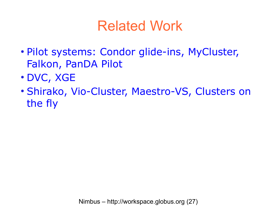### Related Work

- Pilot systems: Condor glide-ins, MyCluster, Falkon, PanDA Pilot
- DVC, XGE
- Shirako, Vio-Cluster, Maestro-VS, Clusters on the fly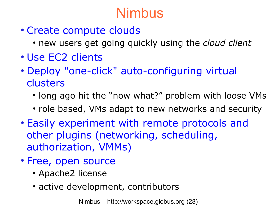#### Nimbus

- Create compute clouds
	- new users get going quickly using the *cloud client*
- Use EC2 clients
- Deploy "one-click" auto-configuring virtual clusters
	- long ago hit the "now what?" problem with loose VMs
	- role based, VMs adapt to new networks and security
- Easily experiment with remote protocols and other plugins (networking, scheduling, authorization, VMMs)
- Free, open source
	- Apache2 license
	- active development, contributors

Nimbus – http://workspace.globus.org (28)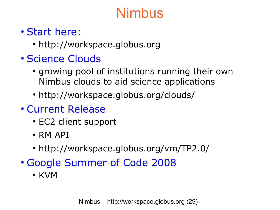### Nimbus

#### • Start here:

• [http://workspace.globus.org](http://workspace.globus.org/)

#### • Science Clouds

- growing pool of institutions running their own Nimbus clouds to aid science applications
- <http://workspace.globus.org/clouds/>
- Current Release
	- EC2 client support
	- $\cdot$  RM API
	- <http://workspace.globus.org/vm/TP2.0/>
- Google Summer of Code 2008
	- KVM